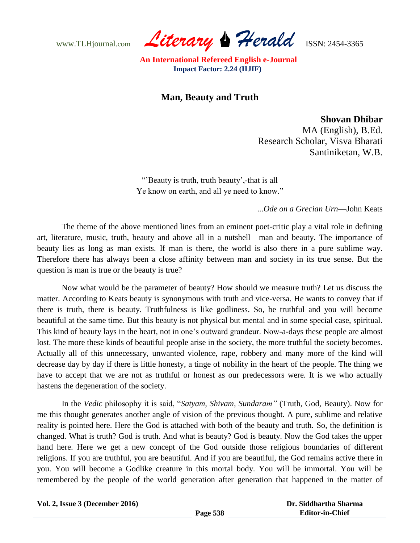www.TLHjournal.com *Literary Herald*ISSN: 2454-3365

 **An International Refereed English e-Journal Impact Factor: 2.24 (IIJIF)**

## **Man, Beauty and Truth**

**Shovan Dhibar**

MA (English), B.Ed. Research Scholar, Visva Bharati Santiniketan, W.B.

""Beauty is truth, truth beauty",-that is all Ye know on earth, and all ye need to know."

*...Ode on a Grecian Urn*—John Keats

The theme of the above mentioned lines from an eminent poet-critic play a vital role in defining art, literature, music, truth, beauty and above all in a nutshell—man and beauty. The importance of beauty lies as long as man exists. If man is there, the world is also there in a pure sublime way. Therefore there has always been a close affinity between man and society in its true sense. But the question is man is true or the beauty is true?

Now what would be the parameter of beauty? How should we measure truth? Let us discuss the matter. According to Keats beauty is synonymous with truth and vice-versa. He wants to convey that if there is truth, there is beauty. Truthfulness is like godliness. So, be truthful and you will become beautiful at the same time. But this beauty is not physical but mental and in some special case, spiritual. This kind of beauty lays in the heart, not in one"s outward grandeur. Now-a-days these people are almost lost. The more these kinds of beautiful people arise in the society, the more truthful the society becomes. Actually all of this unnecessary, unwanted violence, rape, robbery and many more of the kind will decrease day by day if there is little honesty, a tinge of nobility in the heart of the people. The thing we have to accept that we are not as truthful or honest as our predecessors were. It is we who actually hastens the degeneration of the society.

In the *Vedic* philosophy it is said, "*Satyam, Shivam, Sundaram"* (Truth, God, Beauty). Now for me this thought generates another angle of vision of the previous thought. A pure, sublime and relative reality is pointed here. Here the God is attached with both of the beauty and truth. So, the definition is changed. What is truth? God is truth. And what is beauty? God is beauty. Now the God takes the upper hand here. Here we get a new concept of the God outside those religious boundaries of different religions. If you are truthful, you are beautiful. And if you are beautiful, the God remains active there in you. You will become a Godlike creature in this mortal body. You will be immortal. You will be remembered by the people of the world generation after generation that happened in the matter of

|  | Vol. 2, Issue 3 (December 2016) |  |
|--|---------------------------------|--|
|  |                                 |  |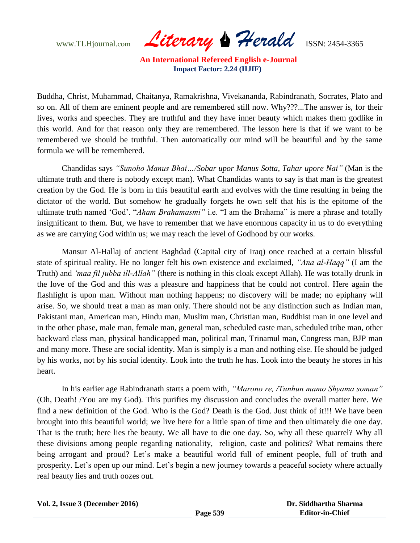www.TLHjournal.com *Literary Herald*ISSN: 2454-3365

 **An International Refereed English e-Journal Impact Factor: 2.24 (IIJIF)**

Buddha, Christ, Muhammad, Chaitanya, Ramakrishna, Vivekananda, Rabindranath, Socrates, Plato and so on. All of them are eminent people and are remembered still now. Why???...The answer is, for their lives, works and speeches. They are truthful and they have inner beauty which makes them godlike in this world. And for that reason only they are remembered. The lesson here is that if we want to be remembered we should be truthful. Then automatically our mind will be beautiful and by the same formula we will be remembered.

Chandidas says *"Sunoho Manus Bhai…/Sobar upor Manus Sotta, Tahar upore Nai"* (Man is the ultimate truth and there is nobody except man). What Chandidas wants to say is that man is the greatest creation by the God. He is born in this beautiful earth and evolves with the time resulting in being the dictator of the world. But somehow he gradually forgets he own self that his is the epitome of the ultimate truth named "God". "*Aham Brahamasmi"* i.e. "I am the Brahama" is mere a phrase and totally insignificant to them. But, we have to remember that we have enormous capacity in us to do everything as we are carrying God within us; we may reach the level of Godhood by our works.

Mansur Al-Hallaj of ancient Baghdad (Capital city of Iraq) once reached at a certain blissful state of spiritual reality. He no longer felt his own existence and exclaimed, *"Ana al-Haqq"* (I am the Truth) and *"maa fil jubba ill-Allah"* (there is nothing in this cloak except Allah). He was totally drunk in the love of the God and this was a pleasure and happiness that he could not control. Here again the flashlight is upon man. Without man nothing happens; no discovery will be made; no epiphany will arise. So, we should treat a man as man only. There should not be any distinction such as Indian man, Pakistani man, American man, Hindu man, Muslim man, Christian man, Buddhist man in one level and in the other phase, male man, female man, general man, scheduled caste man, scheduled tribe man, other backward class man, physical handicapped man, political man, Trinamul man, Congress man, BJP man and many more. These are social identity. Man is simply is a man and nothing else. He should be judged by his works, not by his social identity. Look into the truth he has. Look into the beauty he stores in his heart.

In his earlier age Rabindranath starts a poem with, *"Marono re, /Tunhun mamo Shyama soman"* (Oh, Death! /You are my God). This purifies my discussion and concludes the overall matter here. We find a new definition of the God. Who is the God? Death is the God. Just think of it!!! We have been brought into this beautiful world; we live here for a little span of time and then ultimately die one day. That is the truth; here lies the beauty. We all have to die one day. So, why all these quarrel? Why all these divisions among people regarding nationality, religion, caste and politics? What remains there being arrogant and proud? Let's make a beautiful world full of eminent people, full of truth and prosperity. Let's open up our mind. Let's begin a new journey towards a peaceful society where actually real beauty lies and truth oozes out.

|  |  | Vol. 2, Issue 3 (December 2016) |  |
|--|--|---------------------------------|--|
|  |  |                                 |  |